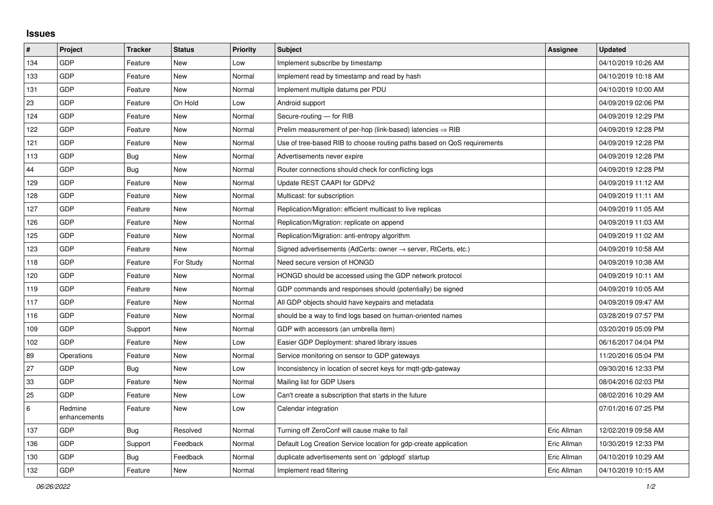## **Issues**

| #   | Project                 | <b>Tracker</b> | <b>Status</b> | Priority | <b>Subject</b>                                                             | Assignee    | <b>Updated</b>      |
|-----|-------------------------|----------------|---------------|----------|----------------------------------------------------------------------------|-------------|---------------------|
| 134 | GDP                     | Feature        | <b>New</b>    | Low      | Implement subscribe by timestamp                                           |             | 04/10/2019 10:26 AM |
| 133 | GDP                     | Feature        | <b>New</b>    | Normal   | Implement read by timestamp and read by hash                               |             | 04/10/2019 10:18 AM |
| 131 | GDP                     | Feature        | <b>New</b>    | Normal   | Implement multiple datums per PDU                                          |             | 04/10/2019 10:00 AM |
| 23  | GDP                     | Feature        | On Hold       | Low      | Android support                                                            |             | 04/09/2019 02:06 PM |
| 124 | GDP                     | Feature        | <b>New</b>    | Normal   | Secure-routing - for RIB                                                   |             | 04/09/2019 12:29 PM |
| 122 | GDP                     | Feature        | <b>New</b>    | Normal   | Prelim measurement of per-hop (link-based) latencies $\Rightarrow$ RIB     |             | 04/09/2019 12:28 PM |
| 121 | GDP                     | Feature        | New           | Normal   | Use of tree-based RIB to choose routing paths based on QoS requirements    |             | 04/09/2019 12:28 PM |
| 113 | GDP                     | Bug            | <b>New</b>    | Normal   | Advertisements never expire                                                |             | 04/09/2019 12:28 PM |
| 44  | GDP                     | <b>Bug</b>     | <b>New</b>    | Normal   | Router connections should check for conflicting logs                       |             | 04/09/2019 12:28 PM |
| 129 | GDP                     | Feature        | <b>New</b>    | Normal   | Update REST CAAPI for GDPv2                                                |             | 04/09/2019 11:12 AM |
| 128 | GDP                     | Feature        | <b>New</b>    | Normal   | Multicast: for subscription                                                |             | 04/09/2019 11:11 AM |
| 127 | GDP                     | Feature        | <b>New</b>    | Normal   | Replication/Migration: efficient multicast to live replicas                |             | 04/09/2019 11:05 AM |
| 126 | GDP                     | Feature        | <b>New</b>    | Normal   | Replication/Migration: replicate on append                                 |             | 04/09/2019 11:03 AM |
| 125 | GDP                     | Feature        | <b>New</b>    | Normal   | Replication/Migration: anti-entropy algorithm                              |             | 04/09/2019 11:02 AM |
| 123 | GDP                     | Feature        | <b>New</b>    | Normal   | Signed advertisements (AdCerts: owner $\rightarrow$ server, RtCerts, etc.) |             | 04/09/2019 10:58 AM |
| 118 | GDP                     | Feature        | For Study     | Normal   | Need secure version of HONGD                                               |             | 04/09/2019 10:38 AM |
| 120 | GDP                     | Feature        | <b>New</b>    | Normal   | HONGD should be accessed using the GDP network protocol                    |             | 04/09/2019 10:11 AM |
| 119 | GDP                     | Feature        | <b>New</b>    | Normal   | GDP commands and responses should (potentially) be signed                  |             | 04/09/2019 10:05 AM |
| 117 | GDP                     | Feature        | <b>New</b>    | Normal   | All GDP objects should have keypairs and metadata                          |             | 04/09/2019 09:47 AM |
| 116 | GDP                     | Feature        | <b>New</b>    | Normal   | should be a way to find logs based on human-oriented names                 |             | 03/28/2019 07:57 PM |
| 109 | GDP                     | Support        | <b>New</b>    | Normal   | GDP with accessors (an umbrella item)                                      |             | 03/20/2019 05:09 PM |
| 102 | GDP                     | Feature        | <b>New</b>    | Low      | Easier GDP Deployment: shared library issues                               |             | 06/16/2017 04:04 PM |
| 89  | Operations              | Feature        | <b>New</b>    | Normal   | Service monitoring on sensor to GDP gateways                               |             | 11/20/2016 05:04 PM |
| 27  | GDP                     | Bug            | <b>New</b>    | Low      | Inconsistency in location of secret keys for mgtt-gdp-gateway              |             | 09/30/2016 12:33 PM |
| 33  | GDP                     | Feature        | <b>New</b>    | Normal   | Mailing list for GDP Users                                                 |             | 08/04/2016 02:03 PM |
| 25  | GDP                     | Feature        | New           | Low      | Can't create a subscription that starts in the future                      |             | 08/02/2016 10:29 AM |
| 6   | Redmine<br>enhancements | Feature        | New           | Low      | Calendar integration                                                       |             | 07/01/2016 07:25 PM |
| 137 | GDP                     | <b>Bug</b>     | Resolved      | Normal   | Turning off ZeroConf will cause make to fail                               | Eric Allman | 12/02/2019 09:58 AM |
| 136 | GDP                     | Support        | Feedback      | Normal   | Default Log Creation Service location for gdp-create application           | Eric Allman | 10/30/2019 12:33 PM |
| 130 | GDP                     | <b>Bug</b>     | Feedback      | Normal   | duplicate advertisements sent on `gdplogd` startup                         | Eric Allman | 04/10/2019 10:29 AM |
| 132 | GDP                     | Feature        | <b>New</b>    | Normal   | Implement read filtering                                                   | Eric Allman | 04/10/2019 10:15 AM |